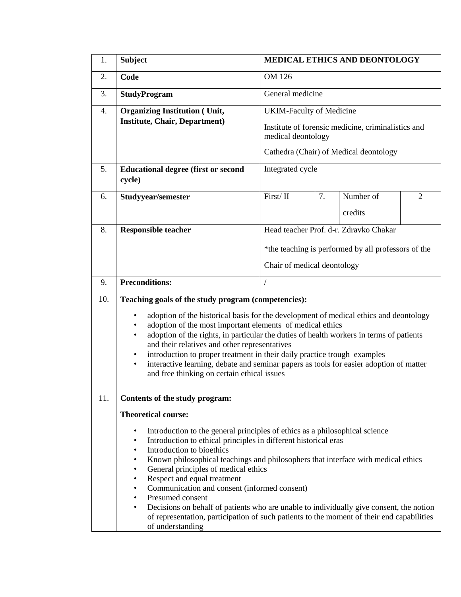| 1.               | <b>Subject</b>                                                                                                                                                                                                                                                                                                                                                                                                                                                                                                                                                                                                                              | <b>MEDICAL ETHICS AND DEONTOLOGY</b>                                                                                                                  |    |                      |   |  |  |
|------------------|---------------------------------------------------------------------------------------------------------------------------------------------------------------------------------------------------------------------------------------------------------------------------------------------------------------------------------------------------------------------------------------------------------------------------------------------------------------------------------------------------------------------------------------------------------------------------------------------------------------------------------------------|-------------------------------------------------------------------------------------------------------------------------------------------------------|----|----------------------|---|--|--|
| 2.               | Code                                                                                                                                                                                                                                                                                                                                                                                                                                                                                                                                                                                                                                        | OM 126                                                                                                                                                |    |                      |   |  |  |
| 3.               | <b>StudyProgram</b>                                                                                                                                                                                                                                                                                                                                                                                                                                                                                                                                                                                                                         | General medicine                                                                                                                                      |    |                      |   |  |  |
| $\overline{4}$ . | <b>Organizing Institution (Unit,</b><br><b>Institute, Chair, Department)</b>                                                                                                                                                                                                                                                                                                                                                                                                                                                                                                                                                                | <b>UKIM-Faculty of Medicine</b><br>Institute of forensic medicine, criminalistics and<br>medical deontology<br>Cathedra (Chair) of Medical deontology |    |                      |   |  |  |
| 5.               | <b>Educational degree (first or second</b><br>cycle)                                                                                                                                                                                                                                                                                                                                                                                                                                                                                                                                                                                        | Integrated cycle                                                                                                                                      |    |                      |   |  |  |
| 6.               | Studyyear/semester                                                                                                                                                                                                                                                                                                                                                                                                                                                                                                                                                                                                                          | First/II                                                                                                                                              | 7. | Number of<br>credits | 2 |  |  |
| 8.               | <b>Responsible teacher</b>                                                                                                                                                                                                                                                                                                                                                                                                                                                                                                                                                                                                                  | Head teacher Prof. d-r. Zdravko Chakar<br>*the teaching is performed by all professors of the<br>Chair of medical deontology                          |    |                      |   |  |  |
| 9.               | <b>Preconditions:</b>                                                                                                                                                                                                                                                                                                                                                                                                                                                                                                                                                                                                                       |                                                                                                                                                       |    |                      |   |  |  |
| 10.              | Teaching goals of the study program (competencies):<br>adoption of the historical basis for the development of medical ethics and deontology<br>$\bullet$<br>adoption of the most important elements of medical ethics<br>$\bullet$<br>adoption of the rights, in particular the duties of health workers in terms of patients<br>$\bullet$<br>and their relatives and other representatives<br>introduction to proper treatment in their daily practice trough examples<br>$\bullet$<br>interactive learning, debate and seminar papers as tools for easier adoption of matter<br>$\bullet$<br>and free thinking on certain ethical issues |                                                                                                                                                       |    |                      |   |  |  |
| 11.              | Contents of the study program:<br><b>Theoretical course:</b><br>Introduction to the general principles of ethics as a philosophical science<br>$\bullet$<br>Introduction to ethical principles in different historical eras<br>$\bullet$<br>Introduction to bioethics<br>$\bullet$<br>$\bullet$                                                                                                                                                                                                                                                                                                                                             |                                                                                                                                                       |    |                      |   |  |  |
|                  | Known philosophical teachings and philosophers that interface with medical ethics<br>General principles of medical ethics<br>$\bullet$<br>Respect and equal treatment<br>٠<br>Communication and consent (informed consent)<br>٠<br>Presumed consent<br>$\bullet$<br>Decisions on behalf of patients who are unable to individually give consent, the notion<br>$\bullet$<br>of representation, participation of such patients to the moment of their end capabilities<br>of understanding                                                                                                                                                   |                                                                                                                                                       |    |                      |   |  |  |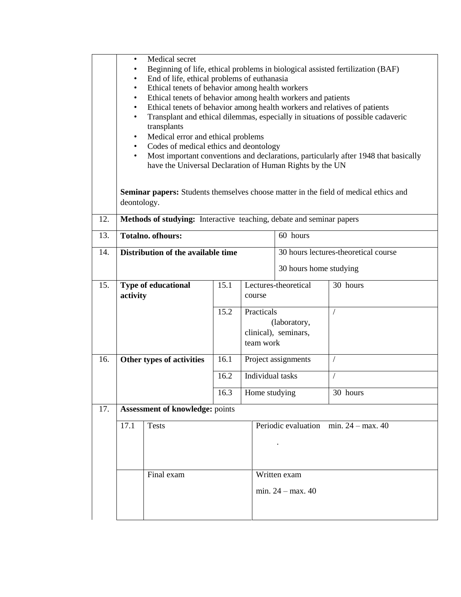|     | Medical secret<br>٠<br>Beginning of life, ethical problems in biological assisted fertilization (BAF)<br>End of life, ethical problems of euthanasia<br>$\bullet$<br>Ethical tenets of behavior among health workers<br>$\bullet$<br>Ethical tenets of behavior among health workers and patients<br>$\bullet$<br>Ethical tenets of behavior among health workers and relatives of patients<br>$\bullet$<br>Transplant and ethical dilemmas, especially in situations of possible cadaveric<br>$\bullet$<br>transplants<br>Medical error and ethical problems<br>$\bullet$<br>Codes of medical ethics and deontology<br>$\bullet$<br>Most important conventions and declarations, particularly after 1948 that basically<br>$\bullet$<br>have the Universal Declaration of Human Rights by the UN<br><b>Seminar papers:</b> Students themselves choose matter in the field of medical ethics and<br>deontology. |            |      |                                                                 |                                                 |            |  |  |  |
|-----|-----------------------------------------------------------------------------------------------------------------------------------------------------------------------------------------------------------------------------------------------------------------------------------------------------------------------------------------------------------------------------------------------------------------------------------------------------------------------------------------------------------------------------------------------------------------------------------------------------------------------------------------------------------------------------------------------------------------------------------------------------------------------------------------------------------------------------------------------------------------------------------------------------------------|------------|------|-----------------------------------------------------------------|-------------------------------------------------|------------|--|--|--|
| 12. | Methods of studying: Interactive teaching, debate and seminar papers                                                                                                                                                                                                                                                                                                                                                                                                                                                                                                                                                                                                                                                                                                                                                                                                                                            |            |      |                                                                 |                                                 |            |  |  |  |
| 13. | <b>Totalno. ofhours:</b>                                                                                                                                                                                                                                                                                                                                                                                                                                                                                                                                                                                                                                                                                                                                                                                                                                                                                        |            |      |                                                                 | 60 hours                                        |            |  |  |  |
| 14. | Distribution of the available time                                                                                                                                                                                                                                                                                                                                                                                                                                                                                                                                                                                                                                                                                                                                                                                                                                                                              |            |      |                                                                 | 30 hours lectures-theoretical course            |            |  |  |  |
|     |                                                                                                                                                                                                                                                                                                                                                                                                                                                                                                                                                                                                                                                                                                                                                                                                                                                                                                                 |            |      |                                                                 | 30 hours home studying                          |            |  |  |  |
| 15. | <b>Type of educational</b><br>activity                                                                                                                                                                                                                                                                                                                                                                                                                                                                                                                                                                                                                                                                                                                                                                                                                                                                          |            | 15.1 | Lectures-theoretical<br>course                                  |                                                 | 30 hours   |  |  |  |
|     |                                                                                                                                                                                                                                                                                                                                                                                                                                                                                                                                                                                                                                                                                                                                                                                                                                                                                                                 |            |      | Practicals<br>(laboratory,<br>clinical), seminars,<br>team work |                                                 | $\sqrt{2}$ |  |  |  |
| 16. | Other types of activities                                                                                                                                                                                                                                                                                                                                                                                                                                                                                                                                                                                                                                                                                                                                                                                                                                                                                       |            |      | Project assignments                                             |                                                 | Т          |  |  |  |
|     |                                                                                                                                                                                                                                                                                                                                                                                                                                                                                                                                                                                                                                                                                                                                                                                                                                                                                                                 |            | 16.2 | Individual tasks                                                |                                                 | $\sqrt{2}$ |  |  |  |
|     | 16.3                                                                                                                                                                                                                                                                                                                                                                                                                                                                                                                                                                                                                                                                                                                                                                                                                                                                                                            |            |      | Home studying                                                   |                                                 | 30 hours   |  |  |  |
| 17. | <b>Assessment of knowledge: points</b>                                                                                                                                                                                                                                                                                                                                                                                                                                                                                                                                                                                                                                                                                                                                                                                                                                                                          |            |      |                                                                 |                                                 |            |  |  |  |
|     | 17.1<br><b>Tests</b>                                                                                                                                                                                                                                                                                                                                                                                                                                                                                                                                                                                                                                                                                                                                                                                                                                                                                            |            |      |                                                                 | Periodic evaluation min. $24 - \text{max}$ . 40 |            |  |  |  |
|     |                                                                                                                                                                                                                                                                                                                                                                                                                                                                                                                                                                                                                                                                                                                                                                                                                                                                                                                 | Final exam |      |                                                                 | Written exam<br>min. $24 - \text{max}$ . 40     |            |  |  |  |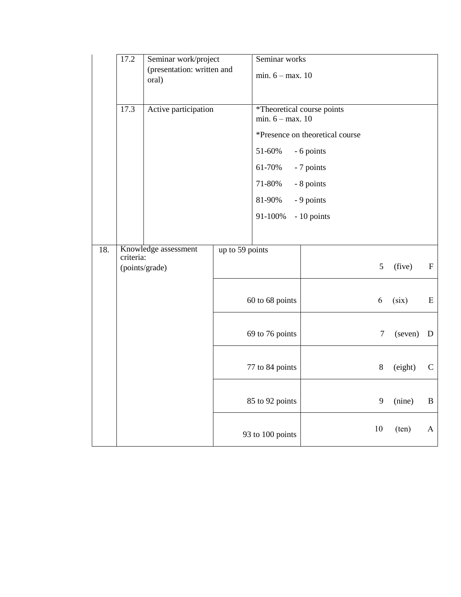|     | 17.2                                                | Seminar work/project<br>(presentation: written and<br>oral) |                 | Seminar works<br>min. $6 - max. 10$              |                                 |         |         |              |
|-----|-----------------------------------------------------|-------------------------------------------------------------|-----------------|--------------------------------------------------|---------------------------------|---------|---------|--------------|
|     |                                                     |                                                             |                 |                                                  |                                 |         |         |              |
|     | 17.3                                                | Active participation                                        |                 | *Theoretical course points<br>min. $6 - max. 10$ |                                 |         |         |              |
|     |                                                     |                                                             |                 |                                                  | *Presence on theoretical course |         |         |              |
|     |                                                     |                                                             |                 | 51-60%                                           | - 6 points                      |         |         |              |
|     |                                                     |                                                             |                 | 61-70%                                           | - 7 points                      |         |         |              |
|     |                                                     |                                                             |                 | 71-80%                                           | - 8 points                      |         |         |              |
|     |                                                     |                                                             |                 | 81-90%                                           | - 9 points                      |         |         |              |
|     |                                                     |                                                             |                 | 91-100%                                          | - 10 points                     |         |         |              |
|     |                                                     |                                                             |                 |                                                  |                                 |         |         |              |
| 18. | Knowledge assessment<br>criteria:<br>(points/grade) |                                                             | up to 59 points |                                                  |                                 | 5       | (five)  | $\mathbf F$  |
|     |                                                     |                                                             |                 | 60 to 68 points                                  |                                 | 6       | (six)   | E            |
|     |                                                     |                                                             |                 | 69 to 76 points                                  |                                 | 7       | (seven) | $\mathbf D$  |
|     |                                                     |                                                             |                 | 77 to 84 points                                  |                                 | $\,8\,$ | (eight) | $\mathsf{C}$ |
|     |                                                     |                                                             |                 | 85 to 92 points                                  |                                 | 9       | (nine)  | B            |
|     |                                                     |                                                             |                 | 93 to 100 points                                 |                                 | 10      | (ten)   | A            |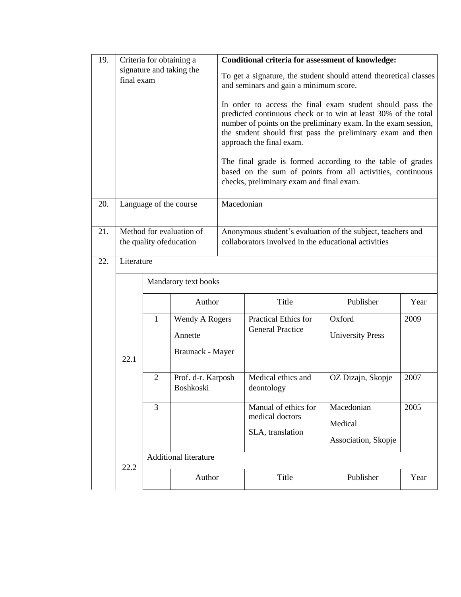| 19. |                                        |                                                                                  | Criteria for obtaining a                                    | Conditional criteria for assessment of knowledge:                                                                                                                                                                                                                                                                                                                                                                                                                |                                                 |                                   |      |  |  |  |
|-----|----------------------------------------|----------------------------------------------------------------------------------|-------------------------------------------------------------|------------------------------------------------------------------------------------------------------------------------------------------------------------------------------------------------------------------------------------------------------------------------------------------------------------------------------------------------------------------------------------------------------------------------------------------------------------------|-------------------------------------------------|-----------------------------------|------|--|--|--|
|     | signature and taking the<br>final exam |                                                                                  |                                                             | To get a signature, the student should attend theoretical classes<br>and seminars and gain a minimum score.                                                                                                                                                                                                                                                                                                                                                      |                                                 |                                   |      |  |  |  |
|     |                                        |                                                                                  |                                                             | In order to access the final exam student should pass the<br>predicted continuous check or to win at least 30% of the total<br>number of points on the preliminary exam. In the exam session,<br>the student should first pass the preliminary exam and then<br>approach the final exam.<br>The final grade is formed according to the table of grades<br>based on the sum of points from all activities, continuous<br>checks, preliminary exam and final exam. |                                                 |                                   |      |  |  |  |
|     |                                        |                                                                                  |                                                             |                                                                                                                                                                                                                                                                                                                                                                                                                                                                  |                                                 |                                   |      |  |  |  |
| 20. |                                        |                                                                                  | Language of the course                                      | Macedonian                                                                                                                                                                                                                                                                                                                                                                                                                                                       |                                                 |                                   |      |  |  |  |
| 21. |                                        | Method for evaluation of                                                         | Anonymous student's evaluation of the subject, teachers and |                                                                                                                                                                                                                                                                                                                                                                                                                                                                  |                                                 |                                   |      |  |  |  |
|     |                                        | collaborators involved in the educational activities<br>the quality of education |                                                             |                                                                                                                                                                                                                                                                                                                                                                                                                                                                  |                                                 |                                   |      |  |  |  |
| 22. | Literature                             |                                                                                  |                                                             |                                                                                                                                                                                                                                                                                                                                                                                                                                                                  |                                                 |                                   |      |  |  |  |
|     |                                        |                                                                                  | Mandatory text books                                        |                                                                                                                                                                                                                                                                                                                                                                                                                                                                  |                                                 |                                   |      |  |  |  |
|     | 22.1                                   |                                                                                  | Author                                                      |                                                                                                                                                                                                                                                                                                                                                                                                                                                                  | Title                                           | Publisher                         | Year |  |  |  |
|     |                                        | $\mathbf{1}$                                                                     | Wendy A Rogers<br>Annette<br>Braunack - Mayer               |                                                                                                                                                                                                                                                                                                                                                                                                                                                                  | Practical Ethics for<br><b>General Practice</b> | Oxford<br><b>University Press</b> | 2009 |  |  |  |
|     |                                        | $\overline{2}$                                                                   | Prof. d-r. Karposh<br>Boshkoski                             |                                                                                                                                                                                                                                                                                                                                                                                                                                                                  | Medical ethics and<br>deontology                | OZ Dizajn, Skopje                 | 2007 |  |  |  |
|     |                                        | 3                                                                                |                                                             |                                                                                                                                                                                                                                                                                                                                                                                                                                                                  | Manual of ethics for                            | Macedonian                        | 2005 |  |  |  |
|     |                                        |                                                                                  |                                                             |                                                                                                                                                                                                                                                                                                                                                                                                                                                                  | medical doctors                                 | Medical                           |      |  |  |  |
|     |                                        |                                                                                  |                                                             |                                                                                                                                                                                                                                                                                                                                                                                                                                                                  | SLA, translation                                | Association, Skopje               |      |  |  |  |
|     |                                        |                                                                                  | <b>Additional literature</b>                                |                                                                                                                                                                                                                                                                                                                                                                                                                                                                  |                                                 |                                   |      |  |  |  |
|     | 22.2                                   |                                                                                  | Author                                                      |                                                                                                                                                                                                                                                                                                                                                                                                                                                                  | Title                                           | Publisher                         | Year |  |  |  |